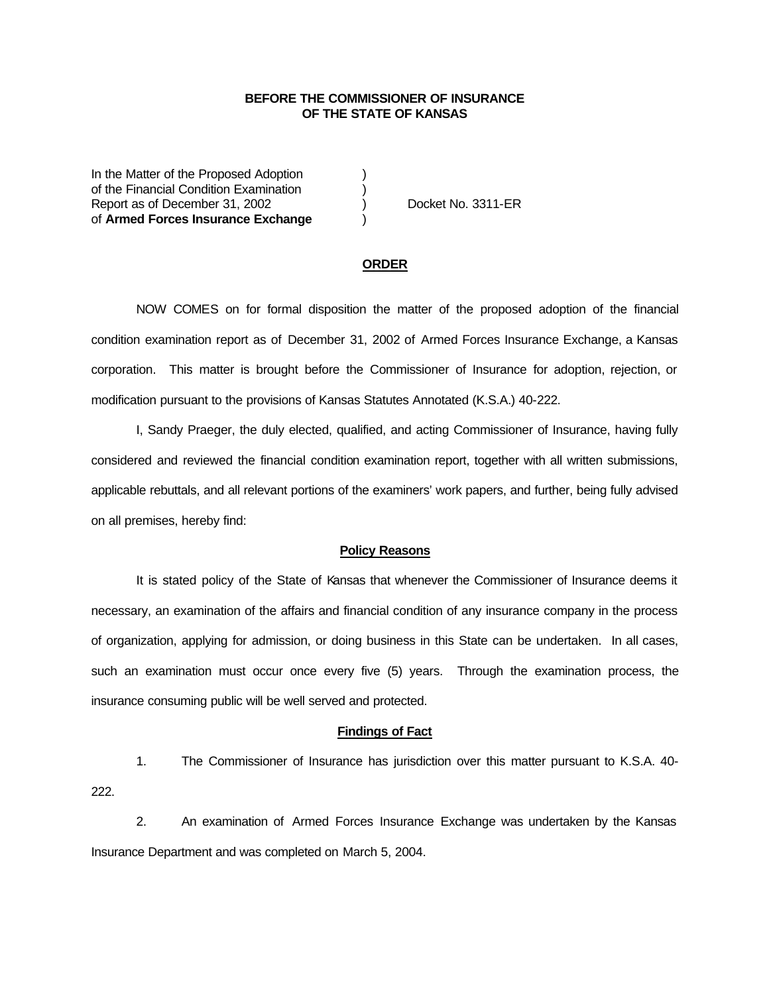## **BEFORE THE COMMISSIONER OF INSURANCE OF THE STATE OF KANSAS**

In the Matter of the Proposed Adoption of the Financial Condition Examination ) Report as of December 31, 2002 (a) Docket No. 3311-ER of **Armed Forces Insurance Exchange** )

#### **ORDER**

NOW COMES on for formal disposition the matter of the proposed adoption of the financial condition examination report as of December 31, 2002 of Armed Forces Insurance Exchange, a Kansas corporation. This matter is brought before the Commissioner of Insurance for adoption, rejection, or modification pursuant to the provisions of Kansas Statutes Annotated (K.S.A.) 40-222.

I, Sandy Praeger, the duly elected, qualified, and acting Commissioner of Insurance, having fully considered and reviewed the financial condition examination report, together with all written submissions, applicable rebuttals, and all relevant portions of the examiners' work papers, and further, being fully advised on all premises, hereby find:

## **Policy Reasons**

It is stated policy of the State of Kansas that whenever the Commissioner of Insurance deems it necessary, an examination of the affairs and financial condition of any insurance company in the process of organization, applying for admission, or doing business in this State can be undertaken. In all cases, such an examination must occur once every five (5) years. Through the examination process, the insurance consuming public will be well served and protected.

#### **Findings of Fact**

1. The Commissioner of Insurance has jurisdiction over this matter pursuant to K.S.A. 40- 222.

2. An examination of Armed Forces Insurance Exchange was undertaken by the Kansas Insurance Department and was completed on March 5, 2004.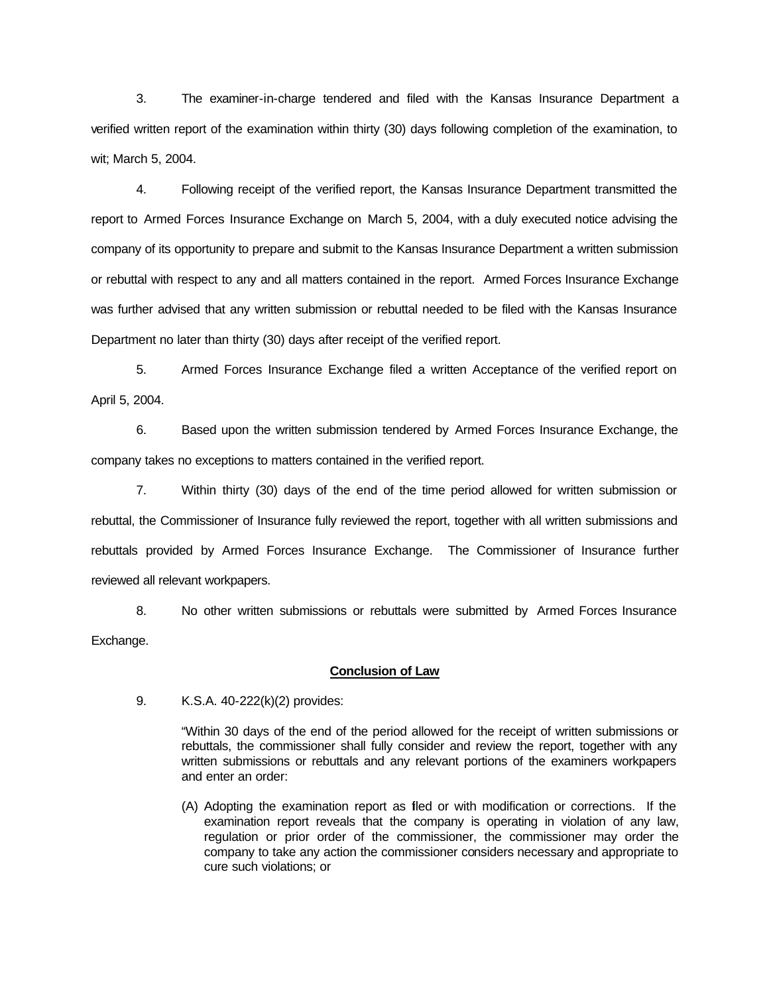3. The examiner-in-charge tendered and filed with the Kansas Insurance Department a verified written report of the examination within thirty (30) days following completion of the examination, to wit; March 5, 2004.

4. Following receipt of the verified report, the Kansas Insurance Department transmitted the report to Armed Forces Insurance Exchange on March 5, 2004, with a duly executed notice advising the company of its opportunity to prepare and submit to the Kansas Insurance Department a written submission or rebuttal with respect to any and all matters contained in the report. Armed Forces Insurance Exchange was further advised that any written submission or rebuttal needed to be filed with the Kansas Insurance Department no later than thirty (30) days after receipt of the verified report.

5. Armed Forces Insurance Exchange filed a written Acceptance of the verified report on April 5, 2004.

6. Based upon the written submission tendered by Armed Forces Insurance Exchange, the company takes no exceptions to matters contained in the verified report.

7. Within thirty (30) days of the end of the time period allowed for written submission or rebuttal, the Commissioner of Insurance fully reviewed the report, together with all written submissions and rebuttals provided by Armed Forces Insurance Exchange. The Commissioner of Insurance further reviewed all relevant workpapers.

8. No other written submissions or rebuttals were submitted by Armed Forces Insurance Exchange.

## **Conclusion of Law**

9. K.S.A. 40-222(k)(2) provides:

"Within 30 days of the end of the period allowed for the receipt of written submissions or rebuttals, the commissioner shall fully consider and review the report, together with any written submissions or rebuttals and any relevant portions of the examiners workpapers and enter an order:

(A) Adopting the examination report as filed or with modification or corrections. If the examination report reveals that the company is operating in violation of any law, regulation or prior order of the commissioner, the commissioner may order the company to take any action the commissioner considers necessary and appropriate to cure such violations; or